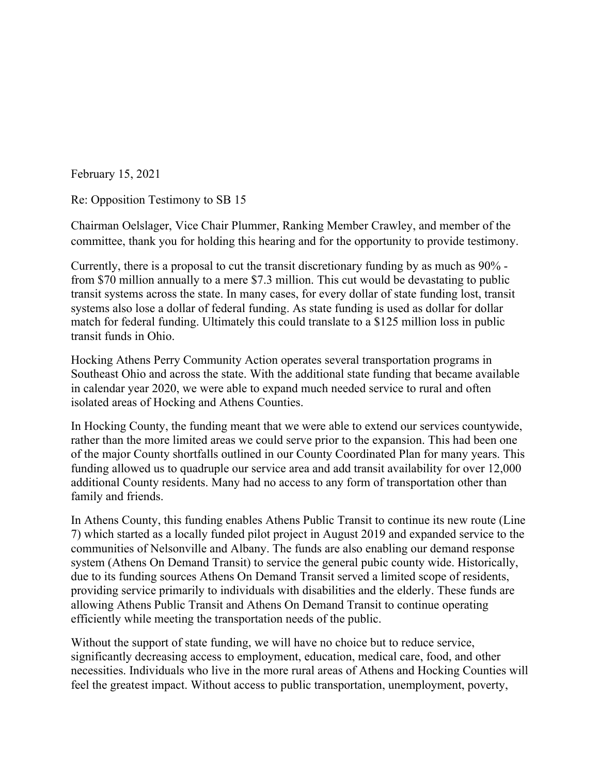February 15, 2021

Re: Opposition Testimony to SB 15

Chairman Oelslager, Vice Chair Plummer, Ranking Member Crawley, and member of the committee, thank you for holding this hearing and for the opportunity to provide testimony.

Currently, there is a proposal to cut the transit discretionary funding by as much as 90% from \$70 million annually to a mere \$7.3 million. This cut would be devastating to public transit systems across the state. In many cases, for every dollar of state funding lost, transit systems also lose a dollar of federal funding. As state funding is used as dollar for dollar match for federal funding. Ultimately this could translate to a \$125 million loss in public transit funds in Ohio.

Hocking Athens Perry Community Action operates several transportation programs in Southeast Ohio and across the state. With the additional state funding that became available in calendar year 2020, we were able to expand much needed service to rural and often isolated areas of Hocking and Athens Counties.

In Hocking County, the funding meant that we were able to extend our services countywide, rather than the more limited areas we could serve prior to the expansion. This had been one of the major County shortfalls outlined in our County Coordinated Plan for many years. This funding allowed us to quadruple our service area and add transit availability for over 12,000 additional County residents. Many had no access to any form of transportation other than family and friends.

In Athens County, this funding enables Athens Public Transit to continue its new route (Line 7) which started as a locally funded pilot project in August 2019 and expanded service to the communities of Nelsonville and Albany. The funds are also enabling our demand response system (Athens On Demand Transit) to service the general pubic county wide. Historically, due to its funding sources Athens On Demand Transit served a limited scope of residents, providing service primarily to individuals with disabilities and the elderly. These funds are allowing Athens Public Transit and Athens On Demand Transit to continue operating efficiently while meeting the transportation needs of the public.

Without the support of state funding, we will have no choice but to reduce service, significantly decreasing access to employment, education, medical care, food, and other necessities. Individuals who live in the more rural areas of Athens and Hocking Counties will feel the greatest impact. Without access to public transportation, unemployment, poverty,